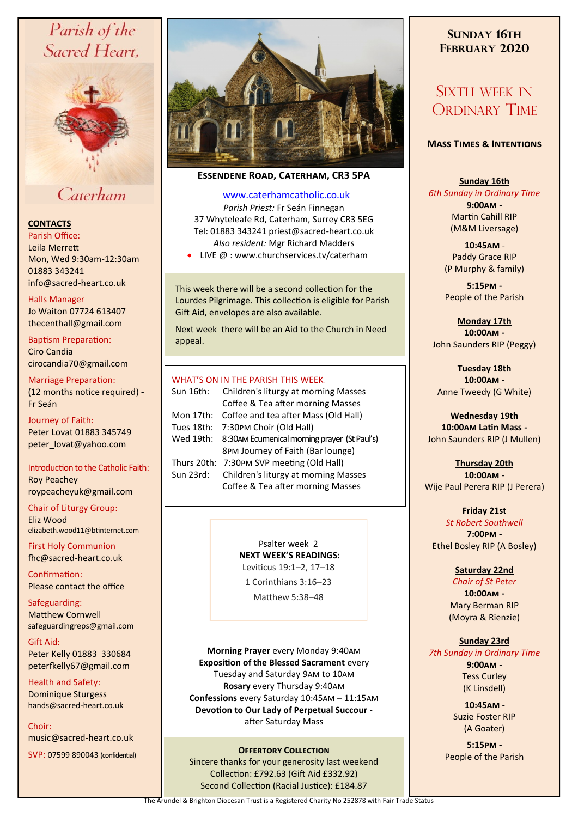# Parish of the Sacred Heart,



## Caterham

## **CONTACTS**

Parish Office: Leila Merrett Mon, Wed 9:30am-12:30am 01883 343241 info@sacred-heart.co.uk .

#### Halls Manager

Jo Waiton 07724 613407 thecenthall@gmail.com

Baptism Preparation: Ciro Candia cirocandia70@gmail.com

Marriage Preparation: (12 months notice required) **-** Fr Seán

Journey of Faith: Peter Lovat 01883 345749 peter\_lovat@yahoo.com

Introduction to the Catholic Faith: Roy Peachey roypeacheyuk@gmail.com

Chair of Liturgy Group: Eliz Wood elizabeth.wood11@btinternet.com

First Holy Communion fhc@sacred-heart.co.uk

Confirmation: Please contact the office

Safeguarding: Matthew Cornwell safeguardingreps@gmail.com

Gift Aid: Peter Kelly 01883 330684 peterfkelly67@gmail.com

Health and Safety: Dominique Sturgess hands@sacred-heart.co.uk

Choir: music@sacred-heart.co.uk

SVP: 07599 890043 (confidential)



**Essendene Road, Caterham, CR3 5PA**

## [www.caterhamcatholic.co.uk](http://Www.caterhamcatholic.co.uk)

*Parish Priest:* Fr Seán Finnegan 37 Whyteleafe Rd, Caterham, Surrey CR3 5EG Tel: 01883 343241 priest@sacred-heart.co.uk *Also resident:* Mgr Richard Madders

• LIVE @ : www.churchservices.tv/caterham

This week there will be a second collection for the Lourdes Pilgrimage. This collection is eligible for Parish Gift Aid, envelopes are also available.

Next week there will be an Aid to the Church in Need appeal.

## WHAT'S ON IN THE PARISH THIS WEEK.

| Sun 16th:   | Children's liturgy at morning Masses                    |
|-------------|---------------------------------------------------------|
|             | Coffee & Tea after morning Masses                       |
| Mon 17th:   | Coffee and tea after Mass (Old Hall)                    |
| Tues 18th:  | 7:30PM Choir (Old Hall)                                 |
|             | Wed 19th: 8:30 AM Ecumenical morning prayer (St Paul's) |
|             | 8PM Journey of Faith (Bar lounge)                       |
| Thurs 20th: | 7:30PM SVP meeting (Old Hall)                           |
| Sun 23rd:   | Children's liturgy at morning Masses                    |
|             | Coffee & Tea after morning Masses                       |
|             |                                                         |

Psalter week 2 **NEXT WEEK'S READINGS:**  Leviticus 19:1–2, 17–18

1 Corinthians 3:16–23

Matthew 5:38–48

**Morning Prayer** every Monday 9:40am **Exposition of the Blessed Sacrament** every Tuesday and Saturday 9am to 10am **Rosary** every Thursday 9:40am **Confessions** every Saturday 10:45am – 11:15am **Devotion to Our Lady of Perpetual Succour**  after Saturday Mass

## **Offertory Collection**

Sincere thanks for your generosity last weekend Collection: £792.63 (Gift Aid £332.92) Second Collection (Racial Justice): £184.87

## **SUNDAY 16TH FEBRUARY 2020**

## SIXTH WEEK IN ORDINARY TIME

## **Mass Times & Intentions**

### **Sunday 16th**

*6th Sunday in Ordinary Time* **9:00am** - Martin Cahill RIP (M&M Liversage)

> .**10:45am** - Paddy Grace RIP (P Murphy & family)

**5:15pm -** People of the Parish

**Monday 17th 10:00am -** John Saunders RIP (Peggy)

**Tuesday 18th 10:00am** - Anne Tweedy (G White)

**Wednesday 19th 10:00am Latin Mass -** John Saunders RIP (J Mullen)

**Thursday 20th 10:00am** - Wije Paul Perera RIP (J Perera)

**Friday 21st** *St Robert Southwell* **7:00pm -** Ethel Bosley RIP (A Bosley)

## **Saturday 22nd**

*Chair of St Peter* **10:00am -**  Mary Berman RIP (Moyra & Rienzie)

## **Sunday 23rd**

*7th Sunday in Ordinary Time* **9:00am** - Tess Curley (K Linsdell)

> .**10:45am** - Suzie Foster RIP (A Goater)

**5:15pm -** People of the Parish

The Arundel & Brighton Diocesan Trust is a Registered Charity No 252878 with Fair Trade Status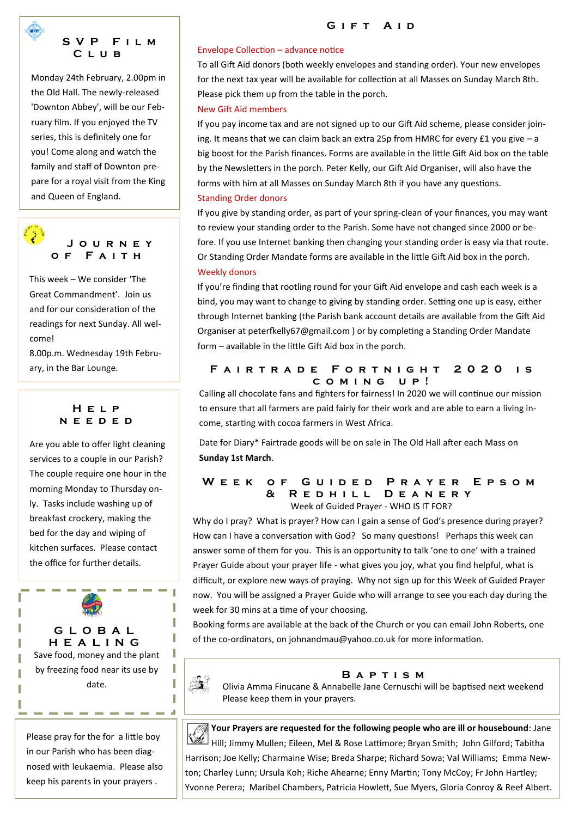## **S V P F i l m C l u b**

Monday 24th February, 2.00pm in the Old Hall. The newly-released 'Downton Abbey', will be our February film. If you enjoyed the TV series, this is definitely one for you! Come along and watch the family and staff of Downton prepare for a royal visit from the King and Queen of England.



This week – We consider 'The Great Commandment'. Join us and for our consideration of the readings for next Sunday. All welcome!

8.00p.m. Wednesday 19th February, in the Bar Lounge.

> **H e l p n e e d e d**

Are you able to offer light cleaning services to a couple in our Parish? The couple require one hour in the morning Monday to Thursday only. Tasks include washing up of breakfast crockery, making the bed for the day and wiping of kitchen surfaces. Please contact the office for further details.

**G L O B A L H E A L I N G** Save food, money and the plant by freezing food near its use by date.

Please pray for the for a little boy in our Parish who has been diagnosed with leukaemia. Please also keep his parents in your prayers .

-------

## GIFT AID

### Envelope Collection – advance notice

To all Gift Aid donors (both weekly envelopes and standing order). Your new envelopes for the next tax year will be available for collection at all Masses on Sunday March 8th. Please pick them up from the table in the porch.

## New Gift Aid members

If you pay income tax and are not signed up to our Gift Aid scheme, please consider joining. It means that we can claim back an extra 25p from HMRC for every £1 you give – a big boost for the Parish finances. Forms are available in the little Gift Aid box on the table by the Newsletters in the porch. Peter Kelly, our Gift Aid Organiser, will also have the forms with him at all Masses on Sunday March 8th if you have any questions. Standing Order donors

If you give by standing order, as part of your spring-clean of your finances, you may want to review your standing order to the Parish. Some have not changed since 2000 or before. If you use Internet banking then changing your standing order is easy via that route. Or Standing Order Mandate forms are available in the little Gift Aid box in the porch. Weekly donors

If you're finding that rootling round for your Gift Aid envelope and cash each week is a bind, you may want to change to giving by standing order. Setting one up is easy, either through Internet banking (the Parish bank account details are available from the Gift Aid Organiser at peterfkelly67@gmail.com ) or by completing a Standing Order Mandate form – available in the little Gift Aid box in the porch.

## FAIRTRADE FORTNIGHT 2020 IS **c o m i n g u p !**

Calling all chocolate fans and fighters for fairness! In 2020 we will continue our mission to ensure that all farmers are paid fairly for their work and are able to earn a living income, starting with cocoa farmers in West Africa.

Date for Diary\* Fairtrade goods will be on sale in The Old Hall after each Mass on **Sunday 1st March**.

### W E E K O F G U I D E D P R A Y E R E P S O M **& R e d h i l l D e a n e r y**  Week of Guided Prayer - WHO IS IT FOR?

Why do I pray? What is prayer? How can I gain a sense of God's presence during prayer? How can I have a conversation with God? So many questions! Perhaps this week can answer some of them for you. This is an opportunity to talk 'one to one' with a trained Prayer Guide about your prayer life - what gives you joy, what you find helpful, what is difficult, or explore new ways of praying. Why not sign up for this Week of Guided Prayer now. You will be assigned a Prayer Guide who will arrange to see you each day during the week for 30 mins at a time of your choosing.

Booking forms are available at the back of the Church or you can email John Roberts, one of the co-ordinators, on johnandmau@yahoo.co.uk for more information.



I

I

I

## **B a p t i s m**

Olivia Amma Finucane & Annabelle Jane Cernuschi will be baptised next weekend Please keep them in your prayers.

*M* **Your Prayers are requested for the following people who are ill or housebound: Jane** Hill; Jimmy Mullen; Eileen, Mel & Rose Lattimore; Bryan Smith; John Gilford; Tabitha Harrison; Joe Kelly; Charmaine Wise; Breda Sharpe; Richard Sowa; Val Williams; Emma Newton; Charley Lunn; Ursula Koh; Riche Ahearne; Enny Martin; Tony McCoy; Fr John Hartley; Yvonne Perera; Maribel Chambers, Patricia Howlett, Sue Myers, Gloria Conroy & Reef Albert.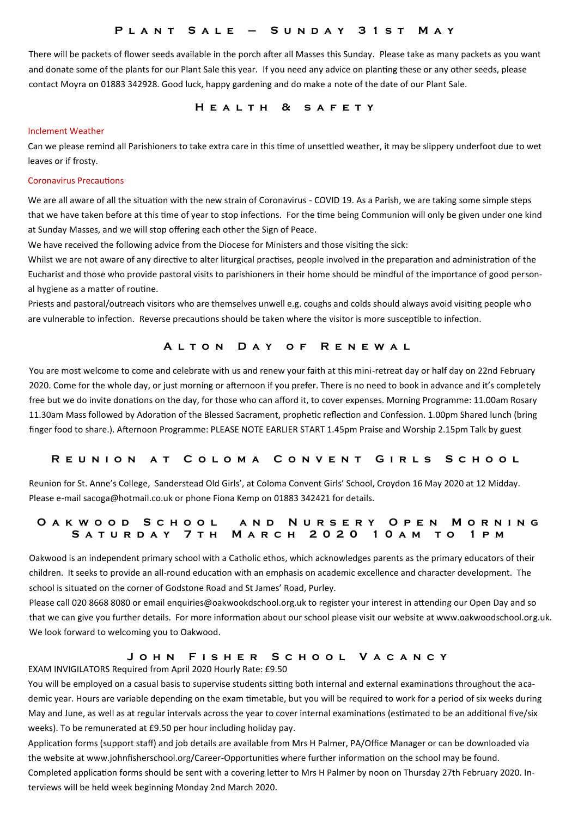## **P l a n t S a l e – S u n d a y 3 1 s t M a y**

There will be packets of flower seeds available in the porch after all Masses this Sunday. Please take as many packets as you want and donate some of the plants for our Plant Sale this year. If you need any advice on planting these or any other seeds, please contact Moyra on 01883 342928. Good luck, happy gardening and do make a note of the date of our Plant Sale.

## **H e a l t h & s a f e t y**

#### Inclement Weather

Can we please remind all Parishioners to take extra care in this time of unsettled weather, it may be slippery underfoot due to wet leaves or if frosty.

#### Coronavirus Precautions

We are all aware of all the situation with the new strain of Coronavirus - COVID 19. As a Parish, we are taking some simple steps that we have taken before at this time of year to stop infections. For the time being Communion will only be given under one kind at Sunday Masses, and we will stop offering each other the Sign of Peace.

We have received the following advice from the Diocese for Ministers and those visiting the sick:

Whilst we are not aware of any directive to alter liturgical practises, people involved in the preparation and administration of the Eucharist and those who provide pastoral visits to parishioners in their home should be mindful of the importance of good personal hygiene as a matter of routine.

Priests and pastoral/outreach visitors who are themselves unwell e.g. coughs and colds should always avoid visiting people who are vulnerable to infection. Reverse precautions should be taken where the visitor is more susceptible to infection.

#### **A l t o n D a y o f R e n e w a l**

You are most welcome to come and celebrate with us and renew your faith at this mini-retreat day or half day on 22nd February 2020. Come for the whole day, or just morning or afternoon if you prefer. There is no need to book in advance and it's completely free but we do invite donations on the day, for those who can afford it, to cover expenses. Morning Programme: 11.00am Rosary 11.30am Mass followed by Adoration of the Blessed Sacrament, prophetic reflection and Confession. 1.00pm Shared lunch (bring finger food to share.). Afternoon Programme: PLEASE NOTE EARLIER START 1.45pm Praise and Worship 2.15pm Talk by guest

#### R E U N I O N A T C O L O M A C O N V E N T G I R L S S C H O O L

Reunion for St. Anne's College, Sanderstead Old Girls', at Coloma Convent Girls' School, Croydon 16 May 2020 at 12 Midday. Please e-mail sacoga@hotmail.co.uk or phone Fiona Kemp on 01883 342421 for details.

## **OAKWOOD SCHOOL AND NURSERY OPEN MORNING S a t u r d a y 7 t h M a r c h 2 0 2 0 1 0 a m t o 1 p m**

Oakwood is an independent primary school with a Catholic ethos, which acknowledges parents as the primary educators of their children. It seeks to provide an all-round education with an emphasis on academic excellence and character development. The school is situated on the corner of Godstone Road and St James' Road, Purley.

Please call 020 8668 8080 or email enquiries@oakwookdschool.org.uk to register your interest in attending our Open Day and so that we can give you further details. For more information about our school please visit our website at www.oakwoodschool.org.uk. We look forward to welcoming you to Oakwood.

## **J o h n F i s h e r S c h o o l V a c a n c y**

EXAM INVIGILATORS Required from April 2020 Hourly Rate: £9.50

You will be employed on a casual basis to supervise students sitting both internal and external examinations throughout the academic year. Hours are variable depending on the exam timetable, but you will be required to work for a period of six weeks during May and June, as well as at regular intervals across the year to cover internal examinations (estimated to be an additional five/six weeks). To be remunerated at £9.50 per hour including holiday pay.

Application forms (support staff) and job details are available from Mrs H Palmer, PA/Office Manager or can be downloaded via the website at www.johnfisherschool.org/Career-Opportunities where further information on the school may be found.

Completed application forms should be sent with a covering letter to Mrs H Palmer by noon on Thursday 27th February 2020. Interviews will be held week beginning Monday 2nd March 2020.